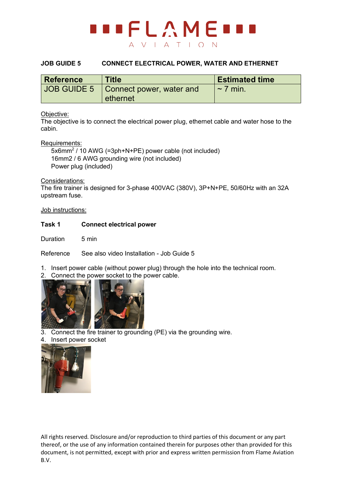

### **JOB GUIDE 5 CONNECT ELECTRICAL POWER, WATER AND ETHERNET**

| <b>Reference</b> | <b>Title</b>                           | <b>Estimated time</b> |
|------------------|----------------------------------------|-----------------------|
|                  | JOB GUIDE 5   Connect power, water and | $\sim$ 7 min.         |
|                  | ethernet                               |                       |

#### Objective:

The objective is to connect the electrical power plug, ethernet cable and water hose to the cabin.

#### Requirements:

 5x6mm2 / 10 AWG (=3ph+N+PE) power cable (not included) 16mm2 / 6 AWG grounding wire (not included) Power plug (included)

#### Considerations:

The fire trainer is designed for 3-phase 400VAC (380V), 3P+N+PE, 50/60Hz with an 32A upstream fuse.

Job instructions:

#### **Task 1 Connect electrical power**

Duration 5 min

Reference See also video Installation - Job Guide 5

1. Insert power cable (without power plug) through the hole into the technical room.

2. Connect the power socket to the power cable.



- 3. Connect the fire trainer to grounding (PE) via the grounding wire.
- 4. Insert power socket



All rights reserved. Disclosure and/or reproduction to third parties of this document or any part thereof, or the use of any information contained therein for purposes other than provided for this document, is not permitted, except with prior and express written permission from Flame Aviation B.V.